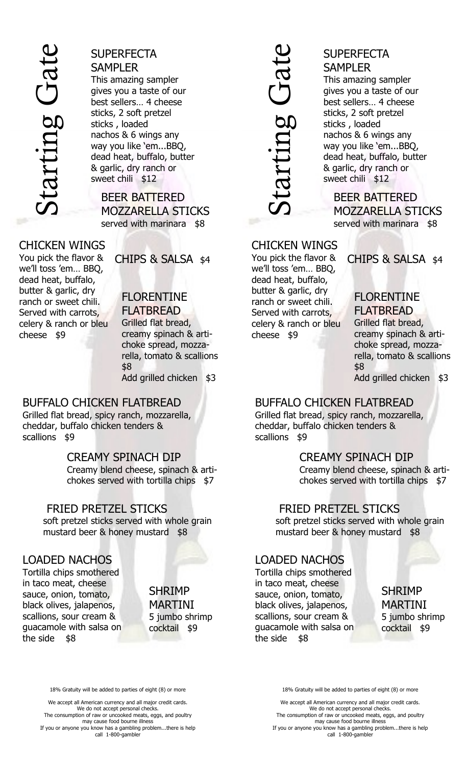

## **SUPERFECTA** SAMPLER

This amazing sampler gives you a taste of our best sellers… 4 cheese sticks, 2 soft pretzel sticks , loaded nachos & 6 wings any way you like 'em...BBQ, dead heat, buffalo, butter & garlic, dry ranch or sweet chili \$12

BEER BATTERED MOZZARELLA STICKS served with marinara \$8

#### CHICKEN WINGS

You pick the flavor & we'll toss 'em… BBQ, dead heat, buffalo, butter & garlic, dry ranch or sweet chili. Served with carrots, celery & ranch or bleu cheese \$9

#### CHIPS & SALSA \$4

# FLORENTINE

FLATBREAD Grilled flat bread, creamy spinach & artichoke spread, mozzarella, tomato & scallions \$8 Add grilled chicken \$3

#### BUFFALO CHICKEN FLATBREAD Grilled flat bread, spicy ranch, mozzarella, cheddar, buffalo chicken tenders & scallions \$9

#### CREAMY SPINACH DIP

Creamy blend cheese, spinach & artichokes served with tortilla chips \$7

#### FRIED PRETZEL STICKS

soft pretzel sticks served with whole grain mustard beer & honey mustard \$8

#### LOADED NACHOS

Tortilla chips smothered in taco meat, cheese sauce, onion, tomato, black olives, jalapenos, scallions, sour cream & guacamole with salsa on the side \$8

SHRIMP MARTINI 5 jumbo shrimp cocktail \$9

18% Gratuity will be added to parties of eight (8) or more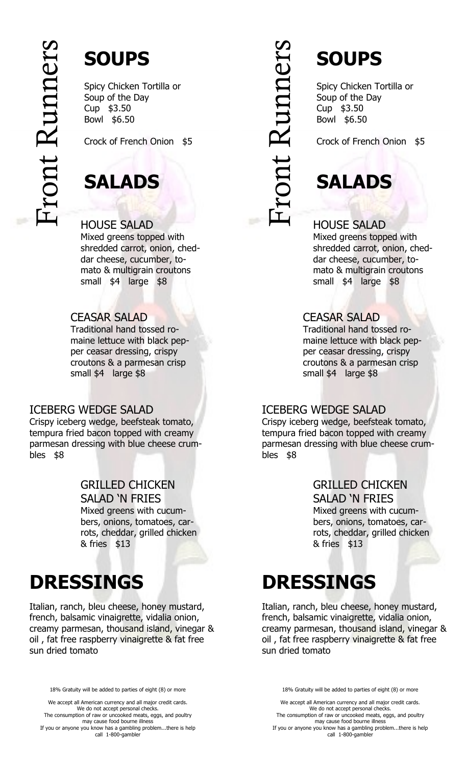# Front Runners



Spicy Chicken Tortilla or Soup of the Day Cup \$3.50 Bowl \$6.50

Crock of French Onion \$5

# **SALADS**

#### HOUSE SALAD

Mixed greens topped with shredded carrot, onion, cheddar cheese, cucumber, tomato & multigrain croutons small \$4 large \$8

#### CEASAR SALAD

Traditional hand tossed romaine lettuce with black pepper ceasar dressing, crispy croutons & a parmesan crisp small \$4 large \$8

#### ICEBERG WEDGE SALAD

Crispy iceberg wedge, beefsteak tomato, tempura fried bacon topped with creamy parmesan dressing with blue cheese crumbles \$8

#### GRILLED CHICKEN SALAD 'N FRIES

Mixed greens with cucumbers, onions, tomatoes, carrots, cheddar, grilled chicken & fries \$13

# **DRESSINGS**

Italian, ranch, bleu cheese, honey mustard, french, balsamic vinaigrette, vidalia onion, creamy parmesan, thousand island, vinegar & oil, fat free raspberry vinaigrette & fat free sun dried tomato

18% Gratuity will be added to parties of eight (8) or more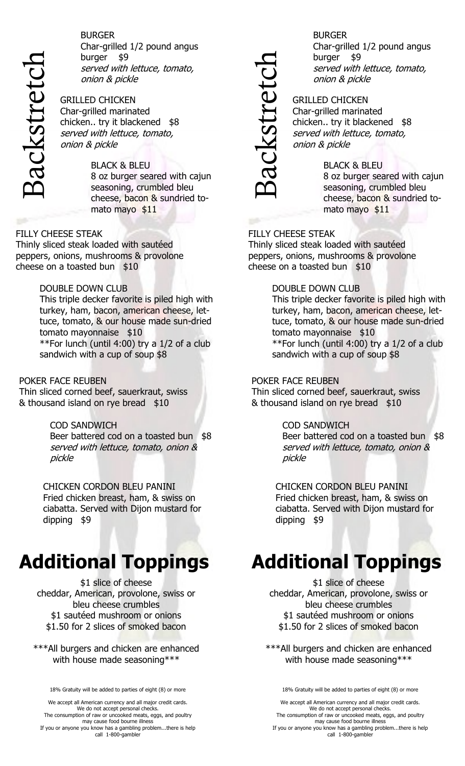

BURGER Char -grilled 1/2 pound angus burger \$9 served with lettuce, tomato, onion & pickle

GRILLED CHICKEN Char -grilled marinated chicken.. try it blackened \$8 served with lettuce, tomato, onion & pickle

> BLACK & BLEU 8 oz burger seared with cajun seasoning, crumbled bleu cheese, bacon & sundried tomato mayo \$11

#### FILLY CHEESE STEAK

Thinly sliced steak loaded with sautéed peppers, onions, mushrooms & provolone cheese on a toasted bun \$10

#### DOUBLE DOWN CLUB

This triple decker favorite is piled high with turkey, ham, bacon, american cheese, lettuce, tomato, & our house made sun-dried tomato mayonnaise \$10 \*\*For lunch (until 4:00) try a 1/2 of a club sandwich with a cup of soup \$8

#### POKER FACE REUBEN

Thin sliced corned beef, sauerkraut, swiss & thousand island on rye bread \$10

#### COD SANDWICH

Beer battered cod on a toasted bun \$8 served with lettuce, tomato, onion & pickle

CHICKEN CORDON BLEU PANINI Fried chicken breast, ham, & swiss on ciabatta. Served with Dijon mustard for dipping \$9

# **Additional Toppings**

\$1 slice of cheese cheddar, American, provolone, swiss or bleu cheese crumbles \$1 sautéed mushroom or onions \$1.50 for 2 slices of smoked bacon

\*\*\*All burgers and chicken are enhanced with house made seasoning\*\*\*

18% Gratuity will be added to parties of eight (8) or more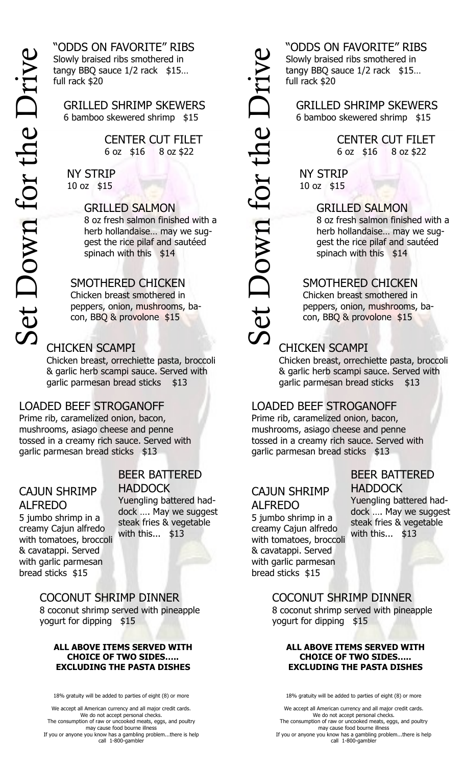"ODDS ON FAVORITE" RIBS Slowly braised ribs smothered in tangy BBQ sauce 1/2 rack \$15... full rack \$20

GRILLED SHRIMP SKEWERS 6 bamboo skewered shrimp \$15

> CENTER CUT FILET 6 oz \$16 8 oz \$22

NY STRIP 10 oz \$15

#### GRILLED SALMON

8 oz fresh salmon finished with a herb hollandaise… may we suggest the rice pilaf and sautéed spinach with this \$14

#### SMOTHERED CHICKEN

Chicken breast smothered in peppers, onion, mushrooms, bacon, BBQ & provolone \$15

#### CHICKEN SCAMPI

Chicken breast, orrechiette pasta, broccoli & garlic herb scampi sauce. Served with garlic parmesan bread sticks \$13

#### LOADED BEEF STROGANOFF

Prime rib, caramelized onion, bacon, mushrooms, asiago cheese and penne tossed in a creamy rich sauce. Served with garlic parmesan bread sticks \$13

#### CAJUN SHRIMP

ALFREDO 5 jumbo shrimp in a creamy Cajun alfredo with tomatoes, broccoli & cavatappi. Served with garlic parmesan bread sticks \$15

### BEER BATTERED **HADDOCK**

Yuengling battered haddock …. May we suggest steak fries & vegetable with this... \$13

COCONUT SHRIMP DINNER 8 coconut shrimp served with pineapple yogurt for dipping \$15

#### **ALL ABOVE ITEMS SERVED WITH CHOICE OF TWO SIDES….. EXCLUDING THE PASTA DISHES**

18% gratuity will be added to parties of eight (8) or more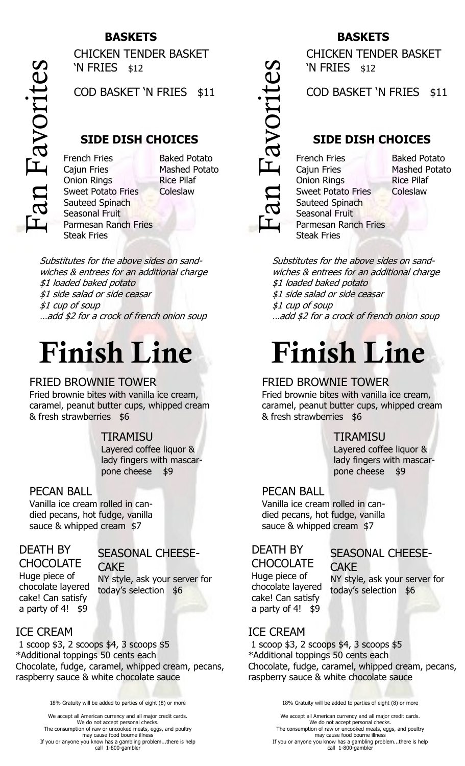#### **BASKETS**

Fan Favorites

CHICKEN TENDER BASKET 'N FRIES \$12

COD BASKET 'N FRIES \$11

#### **SIDE DISH CHOICES**

French Fries Cajun Fries Onion Rings Sweet Potato Fries Sauteed Spinach Seasonal Fruit Parmesan Ranch Fries Steak Fries

Baked Potato Mashed Potato Rice Pilaf **Coleslaw** 

Substitutes for the above sides on sandwiches & entrees for an additional charge \$1 loaded baked potato \$1 side salad or side ceasar \$1 cup of soup …add \$2 for a crock of french onion soup

# **Finish Line**

#### FRIED BROWNIE TOWER

Fried brownie bites with vanilla ice cream, caramel, peanut butter cups, whipped cream & fresh strawberries \$6

#### TIRAMISU

Layered coffee liquor & lady fingers with mascarpone cheese \$9

#### PECAN BALL

Vanilla ice cream rolled in candied pecans, hot fudge, vanilla sauce & whipped cream \$7

#### DEATH BY

#### SEASONAL CHEESE-

**CHOCOLATE** Huge piece of chocolate layered cake! Can satisfy a party of 4! \$9

CAKE NY style, ask your server for today's selection \$6

#### ICE CREAM

1 scoop \$3, 2 scoops \$4, 3 scoops \$5 \*Additional toppings 50 cents each Chocolate, fudge, caramel, whipped cream, pecans, raspberry sauce & white chocolate sauce

18% Gratuity will be added to parties of eight (8) or more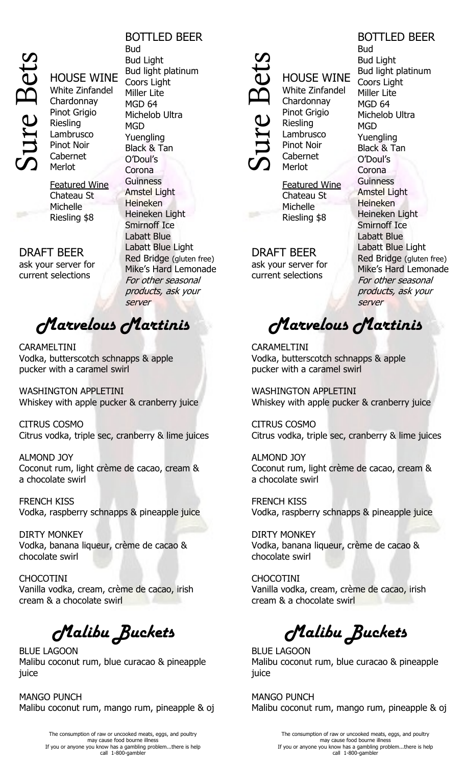

HOUSE WINE White Zinfandel **Chardonnay** Pinot Grigio Riesling Lambrusco Pinot Noir Cabernet Merlot

Featured Wine Chateau St Michelle Riesling \$8

DRAFT BEER ask your server for current selections

#### BOTTLED BEER

Bud Bud Light Bud light platinum Coors Light Miller Lite MGD 64 Michelob Ultra MGD Yuengling Black & Tan O'Doul's Corona **Guinness** Amstel Light Heineken Heineken Light Smirnoff Ice Labatt Blue Labatt Blue Light Red Bridge (gluten free) Mike's Hard Lemonade For other seasonal products, ask your server

# *Marvelous Martinis*

CARAMELTINI Vodka, butterscotch schnapps & apple pucker with a caramel swirl

WASHINGTON APPLETINI Whiskey with apple pucker & cranberry juice

CITRUS COSMO Citrus vodka, triple sec, cranberry & lime juices

ALMOND JOY Coconut rum, light crème de cacao, cream & a chocolate swirl

FRENCH KISS Vodka, raspberry schnapps & pineapple juice

DIRTY MONKEY Vodka, banana liqueur, crème de cacao & chocolate swirl

CHOCOTINI Vanilla vodka, cream, crème de cacao, irish cream & a chocolate swirl

 *Malibu Buckets*

BLUE LAGOON Malibu coconut rum, blue curacao & pineapple juice

MANGO PUNCH Malibu coconut rum, mango rum, pineapple & oj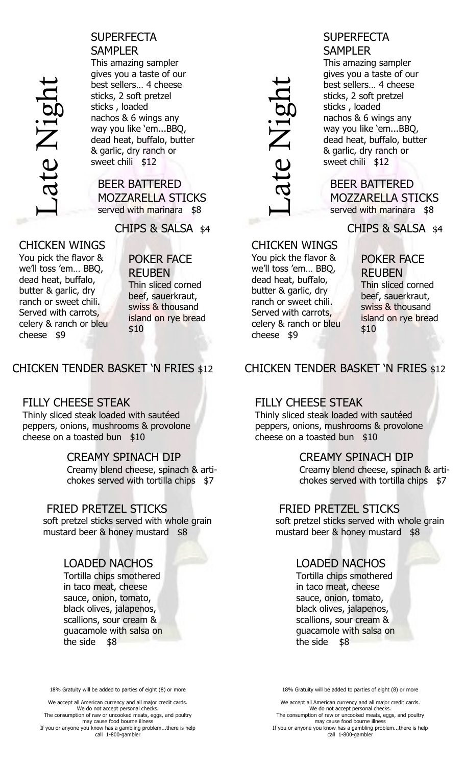

SUPERFECTA **SAMPLER** This amazing sampler gives you a taste of our best sellers… 4 cheese sticks, 2 soft pretzel sticks , loaded nachos & 6 wings any way you like 'em...BBQ, dead heat, buffalo, butter & garlic, dry ranch or sweet chili \$12

BEER BATTERED MOZZARELLA STICKS served with marinara \$8

CHIPS & SALSA \$4

CHICKEN WINGS You pick the flavor & we'll toss 'em… BBQ, dead heat, buffalo, butter & garlic, dry ranch or sweet chili. Served with carrots, celery & ranch or bleu cheese \$9

POKER FACE REUBEN Thin sliced corned beef, sauerkraut, swiss & thousand island on rye bread \$10

 $\overline{\phantom{a}}$ 

#### CHICKEN TENDER BASKET 'N FRIES \$12

#### FILLY CHEESE STEAK

Thinly sliced steak loaded with sautéed peppers, onions, mushrooms & provolone cheese on a toasted bun \$10

#### CREAMY SPINACH DIP

Creamy blend cheese, spinach & artichokes served with tortilla chips \$7

#### FRIED PRETZEL STICKS

soft pretzel sticks served with whole grain mustard beer & honey mustard \$8

#### LOADED NACHOS

Tortilla chips smothered in taco meat, cheese sauce, onion, tomato, black olives, jalapenos, scallions, sour cream & guacamole with salsa on the side \$8

18% Gratuity will be added to parties of eight (8) or more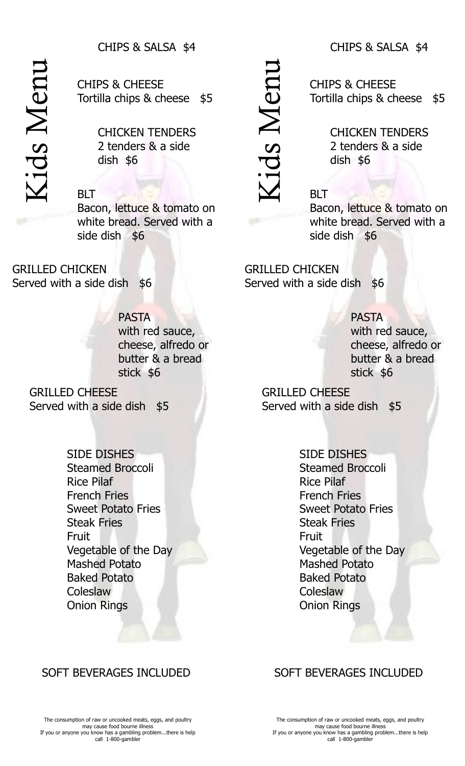#### CHIPS & SALSA \$4

Kids Menu

CHIPS & CHEESE Tortilla chips & cheese \$5

> CHICKEN TENDERS 2 tenders & a side dish \$6

#### BLT

Bacon, lettuce & tomato on white bread. Served with a side dish \$6

GRILLED CHICKEN Served with a side dish \$6

> PASTA with red sauce, cheese, alfredo or butter & a bread stick \$6

 $\overline{\mathcal{L}}$ 

Served with a side of the control of the control of the control of the control of the control of the control of the control of the control of the control of the control of the control of the control of the control of the c

GRILLED CHEESE Served with a side dish \$5

> SIDE DISHES Steamed Broccoli Rice Pilaf French Fries Sweet Potato Fries Steak Fries Fruit Vegetable of the Day Mashed Potato Baked Potato **Coleslaw** Onion Rings

#### SOFT BEVERAGES INCLUDED